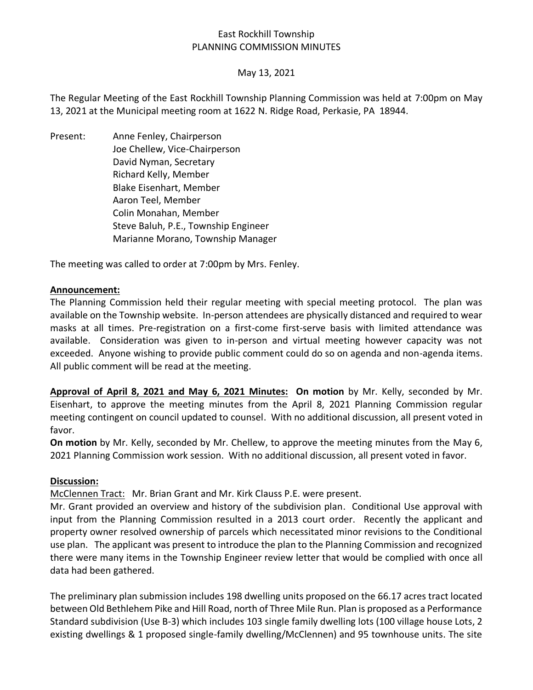## East Rockhill Township PLANNING COMMISSION MINUTES

## May 13, 2021

The Regular Meeting of the East Rockhill Township Planning Commission was held at 7:00pm on May 13, 2021 at the Municipal meeting room at 1622 N. Ridge Road, Perkasie, PA 18944.

Present: Anne Fenley, Chairperson Joe Chellew, Vice-Chairperson David Nyman, Secretary Richard Kelly, Member Blake Eisenhart, Member Aaron Teel, Member Colin Monahan, Member Steve Baluh, P.E., Township Engineer Marianne Morano, Township Manager

The meeting was called to order at 7:00pm by Mrs. Fenley.

#### **Announcement:**

The Planning Commission held their regular meeting with special meeting protocol. The plan was available on the Township website. In-person attendees are physically distanced and required to wear masks at all times. Pre-registration on a first-come first-serve basis with limited attendance was available. Consideration was given to in-person and virtual meeting however capacity was not exceeded. Anyone wishing to provide public comment could do so on agenda and non-agenda items. All public comment will be read at the meeting.

**Approval of April 8, 2021 and May 6, 2021 Minutes: On motion** by Mr. Kelly, seconded by Mr. Eisenhart, to approve the meeting minutes from the April 8, 2021 Planning Commission regular meeting contingent on council updated to counsel. With no additional discussion, all present voted in favor.

**On motion** by Mr. Kelly, seconded by Mr. Chellew, to approve the meeting minutes from the May 6, 2021 Planning Commission work session. With no additional discussion, all present voted in favor.

#### **Discussion:**

McClennen Tract: Mr. Brian Grant and Mr. Kirk Clauss P.E. were present.

Mr. Grant provided an overview and history of the subdivision plan. Conditional Use approval with input from the Planning Commission resulted in a 2013 court order. Recently the applicant and property owner resolved ownership of parcels which necessitated minor revisions to the Conditional use plan. The applicant was present to introduce the plan to the Planning Commission and recognized there were many items in the Township Engineer review letter that would be complied with once all data had been gathered.

The preliminary plan submission includes 198 dwelling units proposed on the 66.17 acres tract located between Old Bethlehem Pike and Hill Road, north of Three Mile Run. Plan is proposed as a Performance Standard subdivision (Use B-3) which includes 103 single family dwelling lots (100 village house Lots, 2 existing dwellings & 1 proposed single-family dwelling/McClennen) and 95 townhouse units. The site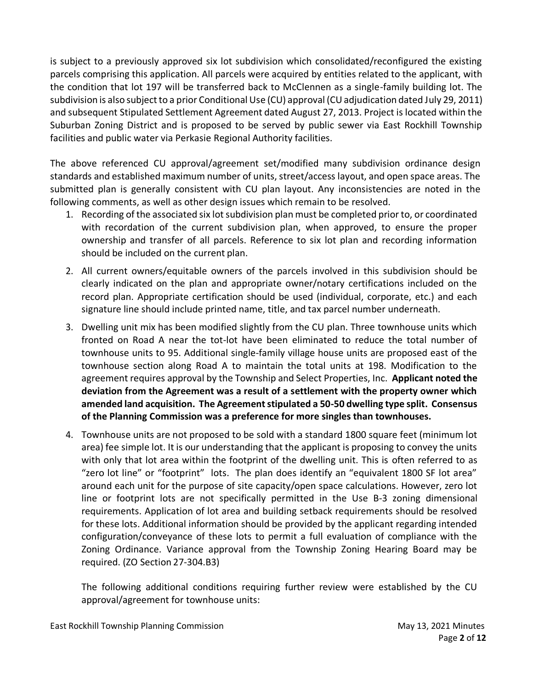is subject to a previously approved six lot subdivision which consolidated/reconfigured the existing parcels comprising this application. All parcels were acquired by entities related to the applicant, with the condition that lot 197 will be transferred back to McClennen as a single-family building lot. The subdivision is also subject to a prior Conditional Use (CU) approval (CU adjudication dated July 29, 2011) and subsequent Stipulated Settlement Agreement dated August 27, 2013. Project is located within the Suburban Zoning District and is proposed to be served by public sewer via East Rockhill Township facilities and public water via Perkasie Regional Authority facilities.

The above referenced CU approval/agreement set/modified many subdivision ordinance design standards and established maximum number of units, street/access layout, and open space areas. The submitted plan is generally consistent with CU plan layout. Any inconsistencies are noted in the following comments, as well as other design issues which remain to be resolved.

- 1. Recording of the associated six lot subdivision plan must be completed prior to, or coordinated with recordation of the current subdivision plan, when approved, to ensure the proper ownership and transfer of all parcels. Reference to six lot plan and recording information should be included on the current plan.
- 2. All current owners/equitable owners of the parcels involved in this subdivision should be clearly indicated on the plan and appropriate owner/notary certifications included on the record plan. Appropriate certification should be used (individual, corporate, etc.) and each signature line should include printed name, title, and tax parcel number underneath.
- 3. Dwelling unit mix has been modified slightly from the CU plan. Three townhouse units which fronted on Road A near the tot-lot have been eliminated to reduce the total number of townhouse units to 95. Additional single-family village house units are proposed east of the townhouse section along Road A to maintain the total units at 198. Modification to the agreement requires approval by the Township and Select Properties, Inc. **Applicant noted the deviation from the Agreement was a result of a settlement with the property owner which amended land acquisition. The Agreement stipulated a 50-50 dwelling type split. Consensus of the Planning Commission was a preference for more singles than townhouses.**
- 4. Townhouse units are not proposed to be sold with a standard 1800 square feet (minimum lot area) fee simple lot. It is our understanding that the applicant is proposing to convey the units with only that lot area within the footprint of the dwelling unit. This is often referred to as "zero lot line" or "footprint" lots. The plan does identify an "equivalent 1800 SF lot area" around each unit for the purpose of site capacity/open space calculations. However, zero lot line or footprint lots are not specifically permitted in the Use B-3 zoning dimensional requirements. Application of lot area and building setback requirements should be resolved for these lots. Additional information should be provided by the applicant regarding intended configuration/conveyance of these lots to permit a full evaluation of compliance with the Zoning Ordinance. Variance approval from the Township Zoning Hearing Board may be required. (ZO Section 27-304.B3)

The following additional conditions requiring further review were established by the CU approval/agreement for townhouse units: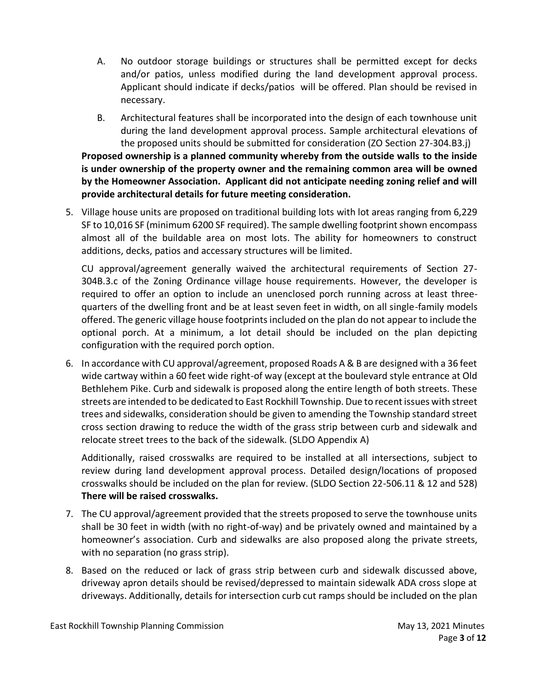- A. No outdoor storage buildings or structures shall be permitted except for decks and/or patios, unless modified during the land development approval process. Applicant should indicate if decks/patios will be offered. Plan should be revised in necessary.
- B. Architectural features shall be incorporated into the design of each townhouse unit during the land development approval process. Sample architectural elevations of the proposed units should be submitted for consideration (ZO Section 27-304.B3.j)

**Proposed ownership is a planned community whereby from the outside walls to the inside is under ownership of the property owner and the remaining common area will be owned by the Homeowner Association. Applicant did not anticipate needing zoning relief and will provide architectural details for future meeting consideration.** 

5. Village house units are proposed on traditional building lots with lot areas ranging from 6,229 SF to 10,016 SF (minimum 6200 SF required). The sample dwelling footprint shown encompass almost all of the buildable area on most lots. The ability for homeowners to construct additions, decks, patios and accessary structures will be limited.

CU approval/agreement generally waived the architectural requirements of Section 27- 304B.3.c of the Zoning Ordinance village house requirements. However, the developer is required to offer an option to include an unenclosed porch running across at least threequarters of the dwelling front and be at least seven feet in width, on all single-family models offered. The generic village house footprints included on the plan do not appear to include the optional porch. At a minimum, a lot detail should be included on the plan depicting configuration with the required porch option.

6. In accordance with CU approval/agreement, proposed Roads A & B are designed with a 36 feet wide cartway within a 60 feet wide right-of way (except at the boulevard style entrance at Old Bethlehem Pike. Curb and sidewalk is proposed along the entire length of both streets. These streets are intended to be dedicated to East Rockhill Township. Due to recent issues with street trees and sidewalks, consideration should be given to amending the Township standard street cross section drawing to reduce the width of the grass strip between curb and sidewalk and relocate street trees to the back of the sidewalk. (SLDO Appendix A)

Additionally, raised crosswalks are required to be installed at all intersections, subject to review during land development approval process. Detailed design/locations of proposed crosswalks should be included on the plan for review. (SLDO Section 22-506.11 & 12 and 528) **There will be raised crosswalks.** 

- 7. The CU approval/agreement provided that the streets proposed to serve the townhouse units shall be 30 feet in width (with no right-of-way) and be privately owned and maintained by a homeowner's association. Curb and sidewalks are also proposed along the private streets, with no separation (no grass strip).
- 8. Based on the reduced or lack of grass strip between curb and sidewalk discussed above, driveway apron details should be revised/depressed to maintain sidewalk ADA cross slope at driveways. Additionally, details for intersection curb cut ramps should be included on the plan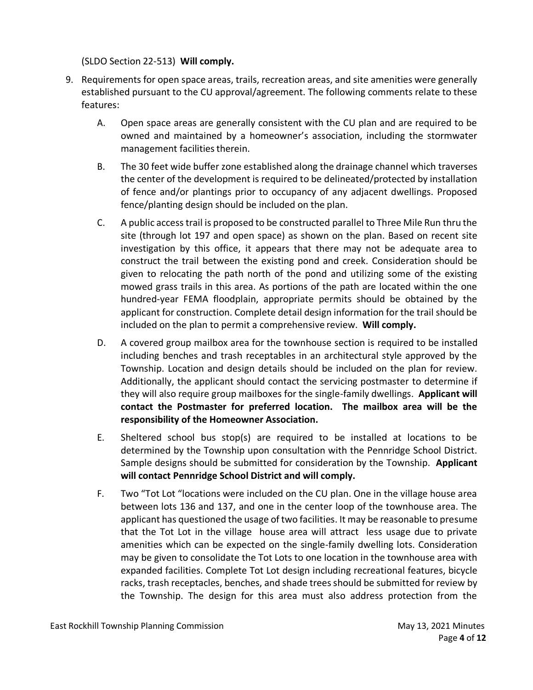(SLDO Section 22-513) **Will comply.**

- 9. Requirements for open space areas, trails, recreation areas, and site amenities were generally established pursuant to the CU approval/agreement. The following comments relate to these features:
	- A. Open space areas are generally consistent with the CU plan and are required to be owned and maintained by a homeowner's association, including the stormwater management facilities therein.
	- B. The 30 feet wide buffer zone established along the drainage channel which traverses the center of the development is required to be delineated/protected by installation of fence and/or plantings prior to occupancy of any adjacent dwellings. Proposed fence/planting design should be included on the plan.
	- C. A public access trail is proposed to be constructed parallel to Three Mile Run thru the site (through lot 197 and open space) as shown on the plan. Based on recent site investigation by this office, it appears that there may not be adequate area to construct the trail between the existing pond and creek. Consideration should be given to relocating the path north of the pond and utilizing some of the existing mowed grass trails in this area. As portions of the path are located within the one hundred-year FEMA floodplain, appropriate permits should be obtained by the applicant for construction. Complete detail design information for the trail should be included on the plan to permit a comprehensive review. **Will comply.**
	- D. A covered group mailbox area for the townhouse section is required to be installed including benches and trash receptables in an architectural style approved by the Township. Location and design details should be included on the plan for review. Additionally, the applicant should contact the servicing postmaster to determine if they will also require group mailboxes for the single-family dwellings. **Applicant will contact the Postmaster for preferred location. The mailbox area will be the responsibility of the Homeowner Association.**
	- E. Sheltered school bus stop(s) are required to be installed at locations to be determined by the Township upon consultation with the Pennridge School District. Sample designs should be submitted for consideration by the Township. **Applicant will contact Pennridge School District and will comply.**
	- F. Two "Tot Lot "locations were included on the CU plan. One in the village house area between lots 136 and 137, and one in the center loop of the townhouse area. The applicant has questioned the usage of two facilities. It may be reasonable to presume that the Tot Lot in the village house area will attract less usage due to private amenities which can be expected on the single-family dwelling lots. Consideration may be given to consolidate the Tot Lots to one location in the townhouse area with expanded facilities. Complete Tot Lot design including recreational features, bicycle racks, trash receptacles, benches, and shade trees should be submitted for review by the Township. The design for this area must also address protection from the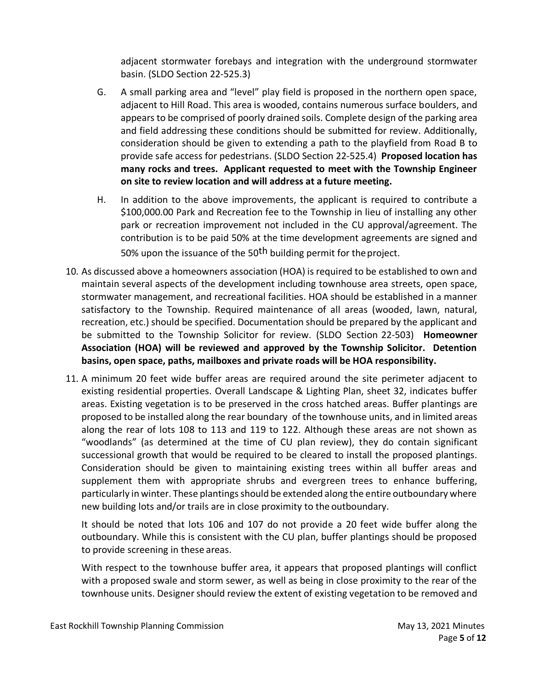adjacent stormwater forebays and integration with the underground stormwater basin. (SLDO Section 22-525.3)

- G. A small parking area and "level" play field is proposed in the northern open space, adjacent to Hill Road. This area is wooded, contains numerous surface boulders, and appears to be comprised of poorly drained soils. Complete design of the parking area and field addressing these conditions should be submitted for review. Additionally, consideration should be given to extending a path to the playfield from Road B to provide safe access for pedestrians. (SLDO Section 22-525.4) **Proposed location has many rocks and trees. Applicant requested to meet with the Township Engineer on site to review location and will address at a future meeting.**
- H. In addition to the above improvements, the applicant is required to contribute a \$100,000.00 Park and Recreation fee to the Township in lieu of installing any other park or recreation improvement not included in the CU approval/agreement. The contribution is to be paid 50% at the time development agreements are signed and 50% upon the issuance of the  $50<sup>th</sup>$  building permit for the project.
- 10. As discussed above a homeowners association (HOA) is required to be established to own and maintain several aspects of the development including townhouse area streets, open space, stormwater management, and recreational facilities. HOA should be established in a manner satisfactory to the Township. Required maintenance of all areas (wooded, lawn, natural, recreation, etc.) should be specified. Documentation should be prepared by the applicant and be submitted to the Township Solicitor for review. (SLDO Section 22-503) **Homeowner Association (HOA) will be reviewed and approved by the Township Solicitor. Detention basins, open space, paths, mailboxes and private roads will be HOA responsibility.**
- 11. A minimum 20 feet wide buffer areas are required around the site perimeter adjacent to existing residential properties. Overall Landscape & Lighting Plan, sheet 32, indicates buffer areas. Existing vegetation is to be preserved in the cross hatched areas. Buffer plantings are proposed to be installed along the rear boundary of the townhouse units, and in limited areas along the rear of lots 108 to 113 and 119 to 122. Although these areas are not shown as "woodlands" (as determined at the time of CU plan review), they do contain significant successional growth that would be required to be cleared to install the proposed plantings. Consideration should be given to maintaining existing trees within all buffer areas and supplement them with appropriate shrubs and evergreen trees to enhance buffering, particularly in winter. These plantings should be extended along the entire outboundary where new building lots and/or trails are in close proximity to the outboundary.

It should be noted that lots 106 and 107 do not provide a 20 feet wide buffer along the outboundary. While this is consistent with the CU plan, buffer plantings should be proposed to provide screening in these areas.

With respect to the townhouse buffer area, it appears that proposed plantings will conflict with a proposed swale and storm sewer, as well as being in close proximity to the rear of the townhouse units. Designer should review the extent of existing vegetation to be removed and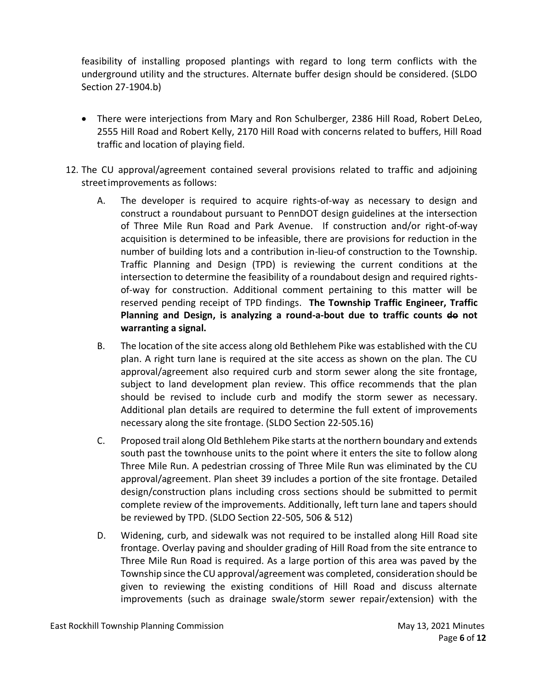feasibility of installing proposed plantings with regard to long term conflicts with the underground utility and the structures. Alternate buffer design should be considered. (SLDO Section 27-1904.b)

- There were interjections from Mary and Ron Schulberger, 2386 Hill Road, Robert DeLeo, 2555 Hill Road and Robert Kelly, 2170 Hill Road with concerns related to buffers, Hill Road traffic and location of playing field.
- 12. The CU approval/agreement contained several provisions related to traffic and adjoining streetimprovements as follows:
	- A. The developer is required to acquire rights-of-way as necessary to design and construct a roundabout pursuant to PennDOT design guidelines at the intersection of Three Mile Run Road and Park Avenue. If construction and/or right-of-way acquisition is determined to be infeasible, there are provisions for reduction in the number of building lots and a contribution in-lieu-of construction to the Township. Traffic Planning and Design (TPD) is reviewing the current conditions at the intersection to determine the feasibility of a roundabout design and required rightsof-way for construction. Additional comment pertaining to this matter will be reserved pending receipt of TPD findings. **The Township Traffic Engineer, Traffic**  Planning and Design, is analyzing a round-a-bout due to traffic counts do not **warranting a signal.**
	- B. The location of the site access along old Bethlehem Pike was established with the CU plan. A right turn lane is required at the site access as shown on the plan. The CU approval/agreement also required curb and storm sewer along the site frontage, subject to land development plan review. This office recommends that the plan should be revised to include curb and modify the storm sewer as necessary. Additional plan details are required to determine the full extent of improvements necessary along the site frontage. (SLDO Section 22-505.16)
	- C. Proposed trail along Old Bethlehem Pike starts at the northern boundary and extends south past the townhouse units to the point where it enters the site to follow along Three Mile Run. A pedestrian crossing of Three Mile Run was eliminated by the CU approval/agreement. Plan sheet 39 includes a portion of the site frontage. Detailed design/construction plans including cross sections should be submitted to permit complete review of the improvements. Additionally, left turn lane and tapers should be reviewed by TPD. (SLDO Section 22-505, 506 & 512)
	- D. Widening, curb, and sidewalk was not required to be installed along Hill Road site frontage. Overlay paving and shoulder grading of Hill Road from the site entrance to Three Mile Run Road is required. As a large portion of this area was paved by the Township since the CU approval/agreement was completed, consideration should be given to reviewing the existing conditions of Hill Road and discuss alternate improvements (such as drainage swale/storm sewer repair/extension) with the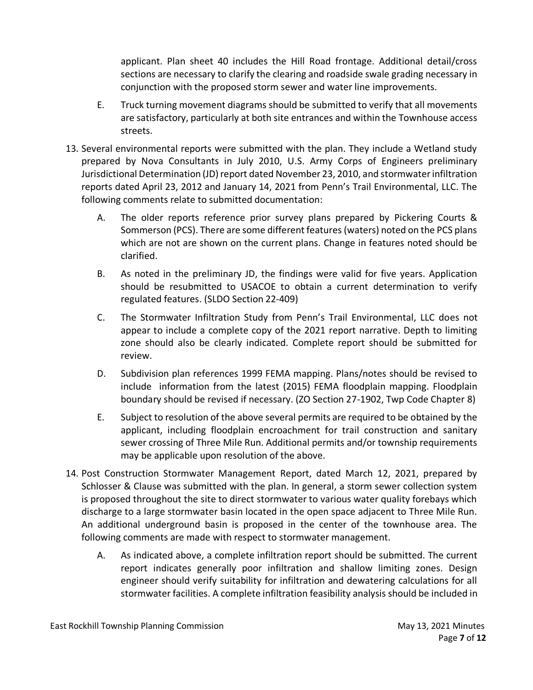applicant. Plan sheet 40 includes the Hill Road frontage. Additional detail/cross sections are necessary to clarify the clearing and roadside swale grading necessary in conjunction with the proposed storm sewer and water line improvements.

- E. Truck turning movement diagrams should be submitted to verify that all movements are satisfactory, particularly at both site entrances and within the Townhouse access streets.
- 13. Several environmental reports were submitted with the plan. They include a Wetland study prepared by Nova Consultants in July 2010, U.S. Army Corps of Engineers preliminary Jurisdictional Determination (JD) report dated November 23, 2010, and stormwater infiltration reports dated April 23, 2012 and January 14, 2021 from Penn's Trail Environmental, LLC. The following comments relate to submitted documentation:
	- A. The older reports reference prior survey plans prepared by Pickering Courts & Sommerson (PCS). There are some different features (waters) noted on the PCS plans which are not are shown on the current plans. Change in features noted should be clarified.
	- B. As noted in the preliminary JD, the findings were valid for five years. Application should be resubmitted to USACOE to obtain a current determination to verify regulated features. (SLDO Section 22-409)
	- C. The Stormwater Infiltration Study from Penn's Trail Environmental, LLC does not appear to include a complete copy of the 2021 report narrative. Depth to limiting zone should also be clearly indicated. Complete report should be submitted for review.
	- D. Subdivision plan references 1999 FEMA mapping. Plans/notes should be revised to include information from the latest (2015) FEMA floodplain mapping. Floodplain boundary should be revised if necessary. (ZO Section 27-1902, Twp Code Chapter 8)
	- E. Subject to resolution of the above several permits are required to be obtained by the applicant, including floodplain encroachment for trail construction and sanitary sewer crossing of Three Mile Run. Additional permits and/or township requirements may be applicable upon resolution of the above.
- 14. Post Construction Stormwater Management Report, dated March 12, 2021, prepared by Schlosser & Clause was submitted with the plan. In general, a storm sewer collection system is proposed throughout the site to direct stormwater to various water quality forebays which discharge to a large stormwater basin located in the open space adjacent to Three Mile Run. An additional underground basin is proposed in the center of the townhouse area. The following comments are made with respect to stormwater management.
	- A. As indicated above, a complete infiltration report should be submitted. The current report indicates generally poor infiltration and shallow limiting zones. Design engineer should verify suitability for infiltration and dewatering calculations for all stormwater facilities. A complete infiltration feasibility analysis should be included in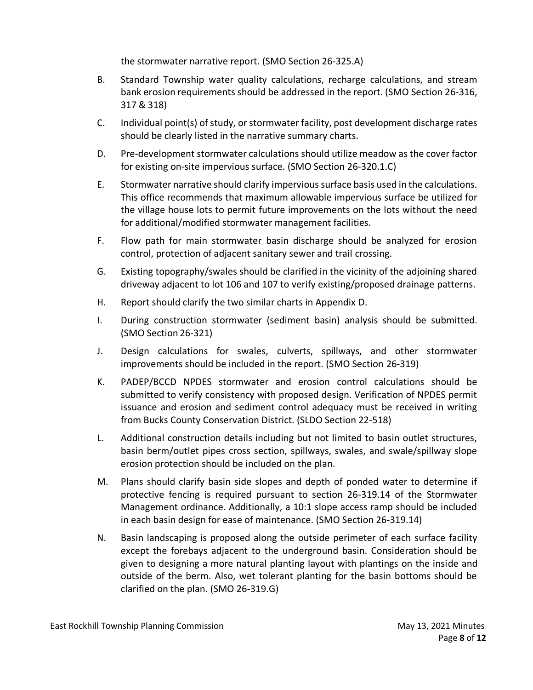the stormwater narrative report. (SMO Section 26-325.A)

- B. Standard Township water quality calculations, recharge calculations, and stream bank erosion requirements should be addressed in the report. (SMO Section 26-316, 317 & 318)
- C. Individual point(s) of study, or stormwater facility, post development discharge rates should be clearly listed in the narrative summary charts.
- D. Pre-development stormwater calculations should utilize meadow as the cover factor for existing on-site impervious surface. (SMO Section 26-320.1.C)
- E. Stormwater narrative should clarify impervious surface basis used in the calculations. This office recommends that maximum allowable impervious surface be utilized for the village house lots to permit future improvements on the lots without the need for additional/modified stormwater management facilities.
- F. Flow path for main stormwater basin discharge should be analyzed for erosion control, protection of adjacent sanitary sewer and trail crossing.
- G. Existing topography/swales should be clarified in the vicinity of the adjoining shared driveway adjacent to lot 106 and 107 to verify existing/proposed drainage patterns.
- H. Report should clarify the two similar charts in Appendix D.
- I. During construction stormwater (sediment basin) analysis should be submitted. (SMO Section 26-321)
- J. Design calculations for swales, culverts, spillways, and other stormwater improvements should be included in the report. (SMO Section 26-319)
- K. PADEP/BCCD NPDES stormwater and erosion control calculations should be submitted to verify consistency with proposed design. Verification of NPDES permit issuance and erosion and sediment control adequacy must be received in writing from Bucks County Conservation District. (SLDO Section 22-518)
- L. Additional construction details including but not limited to basin outlet structures, basin berm/outlet pipes cross section, spillways, swales, and swale/spillway slope erosion protection should be included on the plan.
- M. Plans should clarify basin side slopes and depth of ponded water to determine if protective fencing is required pursuant to section 26-319.14 of the Stormwater Management ordinance. Additionally, a 10:1 slope access ramp should be included in each basin design for ease of maintenance. (SMO Section 26-319.14)
- N. Basin landscaping is proposed along the outside perimeter of each surface facility except the forebays adjacent to the underground basin. Consideration should be given to designing a more natural planting layout with plantings on the inside and outside of the berm. Also, wet tolerant planting for the basin bottoms should be clarified on the plan. (SMO 26-319.G)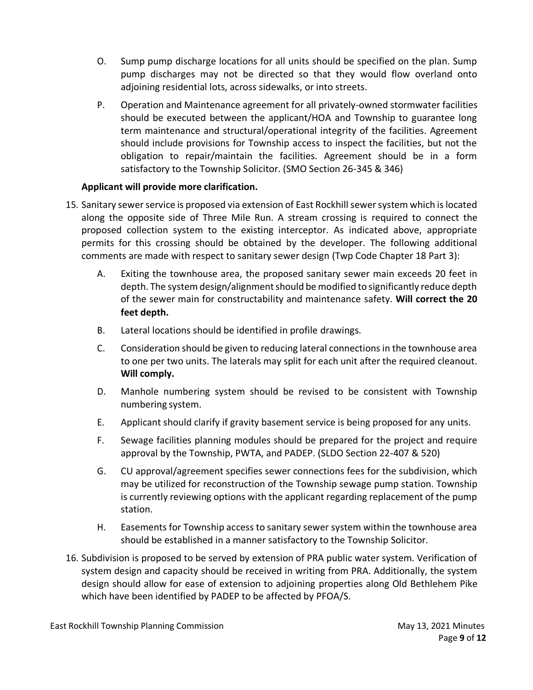- O. Sump pump discharge locations for all units should be specified on the plan. Sump pump discharges may not be directed so that they would flow overland onto adjoining residential lots, across sidewalks, or into streets.
- P. Operation and Maintenance agreement for all privately-owned stormwater facilities should be executed between the applicant/HOA and Township to guarantee long term maintenance and structural/operational integrity of the facilities. Agreement should include provisions for Township access to inspect the facilities, but not the obligation to repair/maintain the facilities. Agreement should be in a form satisfactory to the Township Solicitor. (SMO Section 26-345 & 346)

# **Applicant will provide more clarification.**

- 15. Sanitary sewer service is proposed via extension of East Rockhill sewer system which is located along the opposite side of Three Mile Run. A stream crossing is required to connect the proposed collection system to the existing interceptor. As indicated above, appropriate permits for this crossing should be obtained by the developer. The following additional comments are made with respect to sanitary sewer design (Twp Code Chapter 18 Part 3):
	- A. Exiting the townhouse area, the proposed sanitary sewer main exceeds 20 feet in depth. The system design/alignment should be modified to significantly reduce depth of the sewer main for constructability and maintenance safety. **Will correct the 20 feet depth.**
	- B. Lateral locations should be identified in profile drawings.
	- C. Consideration should be given to reducing lateral connections in the townhouse area to one per two units. The laterals may split for each unit after the required cleanout. **Will comply.**
	- D. Manhole numbering system should be revised to be consistent with Township numbering system.
	- E. Applicant should clarify if gravity basement service is being proposed for any units.
	- F. Sewage facilities planning modules should be prepared for the project and require approval by the Township, PWTA, and PADEP. (SLDO Section 22-407 & 520)
	- G. CU approval/agreement specifies sewer connections fees for the subdivision, which may be utilized for reconstruction of the Township sewage pump station. Township is currently reviewing options with the applicant regarding replacement of the pump station.
	- H. Easements for Township access to sanitary sewer system within the townhouse area should be established in a manner satisfactory to the Township Solicitor.
- 16. Subdivision is proposed to be served by extension of PRA public water system. Verification of system design and capacity should be received in writing from PRA. Additionally, the system design should allow for ease of extension to adjoining properties along Old Bethlehem Pike which have been identified by PADEP to be affected by PFOA/S.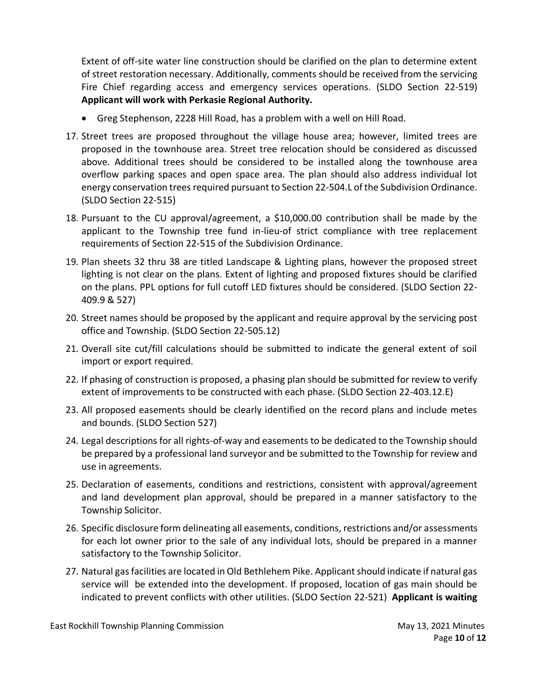Extent of off-site water line construction should be clarified on the plan to determine extent of street restoration necessary. Additionally, comments should be received from the servicing Fire Chief regarding access and emergency services operations. (SLDO Section 22-519) **Applicant will work with Perkasie Regional Authority.**

- Greg Stephenson, 2228 Hill Road, has a problem with a well on Hill Road.
- 17. Street trees are proposed throughout the village house area; however, limited trees are proposed in the townhouse area. Street tree relocation should be considered as discussed above. Additional trees should be considered to be installed along the townhouse area overflow parking spaces and open space area. The plan should also address individual lot energy conservation trees required pursuant to Section 22-504.L of the Subdivision Ordinance. (SLDO Section 22-515)
- 18. Pursuant to the CU approval/agreement, a \$10,000.00 contribution shall be made by the applicant to the Township tree fund in-lieu-of strict compliance with tree replacement requirements of Section 22-515 of the Subdivision Ordinance.
- 19. Plan sheets 32 thru 38 are titled Landscape & Lighting plans, however the proposed street lighting is not clear on the plans. Extent of lighting and proposed fixtures should be clarified on the plans. PPL options for full cutoff LED fixtures should be considered. (SLDO Section 22- 409.9 & 527)
- 20. Street names should be proposed by the applicant and require approval by the servicing post office and Township. (SLDO Section 22-505.12)
- 21. Overall site cut/fill calculations should be submitted to indicate the general extent of soil import or export required.
- 22. If phasing of construction is proposed, a phasing plan should be submitted for review to verify extent of improvements to be constructed with each phase. (SLDO Section 22-403.12.E)
- 23. All proposed easements should be clearly identified on the record plans and include metes and bounds. (SLDO Section 527)
- 24. Legal descriptions for all rights-of-way and easements to be dedicated to the Township should be prepared by a professional land surveyor and be submitted to the Township for review and use in agreements.
- 25. Declaration of easements, conditions and restrictions, consistent with approval/agreement and land development plan approval, should be prepared in a manner satisfactory to the Township Solicitor.
- 26. Specific disclosure form delineating all easements, conditions, restrictions and/or assessments for each lot owner prior to the sale of any individual lots, should be prepared in a manner satisfactory to the Township Solicitor.
- 27. Natural gas facilities are located in Old Bethlehem Pike. Applicant should indicate if natural gas service will be extended into the development. If proposed, location of gas main should be indicated to prevent conflicts with other utilities. (SLDO Section 22-521) **Applicant is waiting**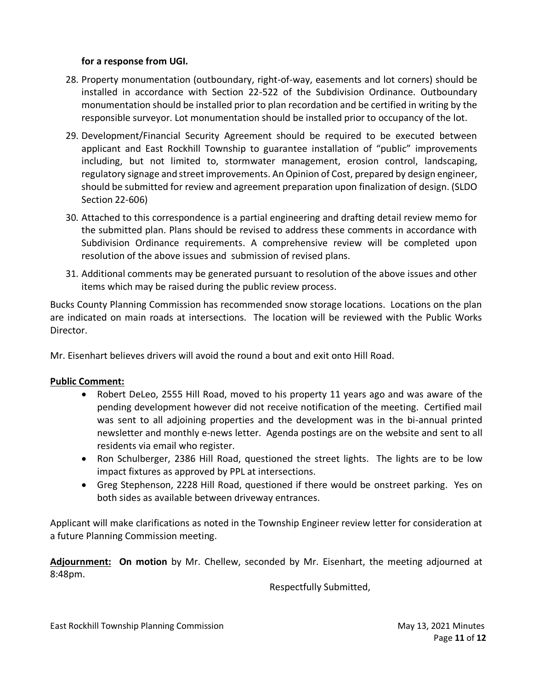## **for a response from UGI.**

- 28. Property monumentation (outboundary, right-of-way, easements and lot corners) should be installed in accordance with Section 22-522 of the Subdivision Ordinance. Outboundary monumentation should be installed prior to plan recordation and be certified in writing by the responsible surveyor. Lot monumentation should be installed prior to occupancy of the lot.
- 29. Development/Financial Security Agreement should be required to be executed between applicant and East Rockhill Township to guarantee installation of "public" improvements including, but not limited to, stormwater management, erosion control, landscaping, regulatory signage and street improvements. An Opinion of Cost, prepared by design engineer, should be submitted for review and agreement preparation upon finalization of design. (SLDO Section 22-606)
- 30. Attached to this correspondence is a partial engineering and drafting detail review memo for the submitted plan. Plans should be revised to address these comments in accordance with Subdivision Ordinance requirements. A comprehensive review will be completed upon resolution of the above issues and submission of revised plans.
- 31. Additional comments may be generated pursuant to resolution of the above issues and other items which may be raised during the public review process.

Bucks County Planning Commission has recommended snow storage locations. Locations on the plan are indicated on main roads at intersections. The location will be reviewed with the Public Works Director.

Mr. Eisenhart believes drivers will avoid the round a bout and exit onto Hill Road.

## **Public Comment:**

- Robert DeLeo, 2555 Hill Road, moved to his property 11 years ago and was aware of the pending development however did not receive notification of the meeting. Certified mail was sent to all adjoining properties and the development was in the bi-annual printed newsletter and monthly e-news letter. Agenda postings are on the website and sent to all residents via email who register.
- Ron Schulberger, 2386 Hill Road, questioned the street lights. The lights are to be low impact fixtures as approved by PPL at intersections.
- Greg Stephenson, 2228 Hill Road, questioned if there would be onstreet parking. Yes on both sides as available between driveway entrances.

Applicant will make clarifications as noted in the Township Engineer review letter for consideration at a future Planning Commission meeting.

**Adjournment: On motion** by Mr. Chellew, seconded by Mr. Eisenhart, the meeting adjourned at 8:48pm.

Respectfully Submitted,